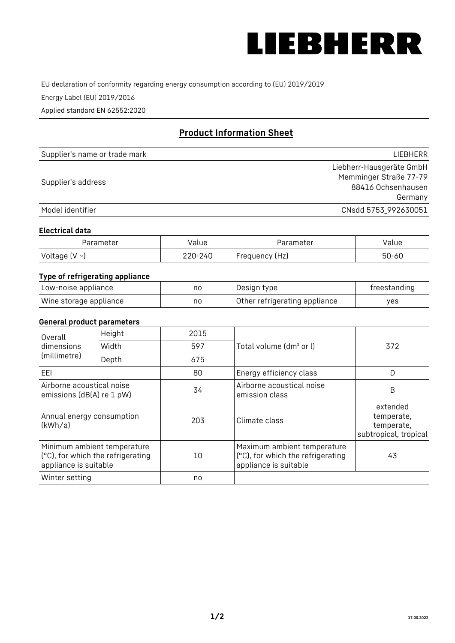

EU declaration of conformity regarding energy consumption according to (EU) 2019/2019

Energy Label (EU) 2019/2016

Applied standard EN 62552:2020

# **Product Information Sheet**

| Supplier's name or trade mark | LIEBHERR                 |
|-------------------------------|--------------------------|
|                               | Liebherr-Hausgeräte GmbH |
| Supplier's address            | Memminger Straße 77-79   |
|                               | 88416 Ochsenhausen       |
|                               | Germany                  |
| Model identifier              | CNsdd 5753_992630051     |

#### **Electrical data**

| Parameter           | Value   | Parameter      | alue/     |
|---------------------|---------|----------------|-----------|
| Voltage (V $\sim$ ) | 220-240 | Frequency (Hz) | $50 - 60$ |

# **Type of refrigerating appliance**

| Low-noise appliance    | nc | Design type                   | freestanding |
|------------------------|----|-------------------------------|--------------|
| Wine storage appliance | nc | Other refrigerating appliance | ves          |

#### **General product parameters**

| Height<br>Overall<br>dimensions<br>Width<br>(millimetre)<br>Depth                         |  | 2015 |                                                                                           | 372                                                           |
|-------------------------------------------------------------------------------------------|--|------|-------------------------------------------------------------------------------------------|---------------------------------------------------------------|
|                                                                                           |  | 597  | Total volume (dm <sup>3</sup> or l)                                                       |                                                               |
|                                                                                           |  | 675  |                                                                                           |                                                               |
| EEL                                                                                       |  | 80   | Energy efficiency class                                                                   | D                                                             |
| Airborne acoustical noise<br>emissions (dB(A) re 1 pW)                                    |  | 34   | Airborne acoustical noise<br>emission class                                               | B                                                             |
| Annual energy consumption<br>(kWh/a)                                                      |  | 203  | Climate class                                                                             | extended<br>temperate,<br>temperate,<br>subtropical, tropical |
| Minimum ambient temperature<br>(°C), for which the refrigerating<br>appliance is suitable |  | 10   | Maximum ambient temperature<br>(°C), for which the refrigerating<br>appliance is suitable | 43                                                            |
| Winter setting                                                                            |  | no   |                                                                                           |                                                               |